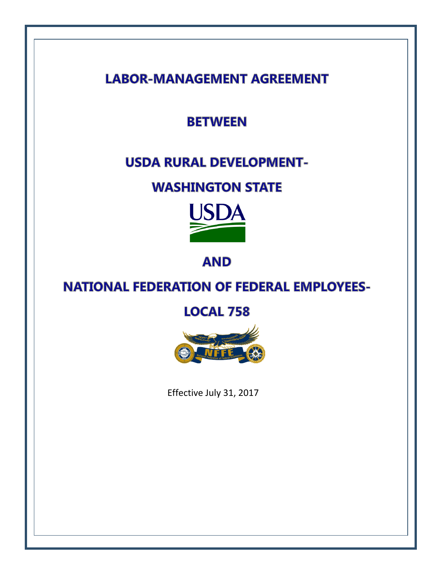**LABOR-MANAGEMENT AGREEMENT** 

**BETWEEN** 

# **USDA RURAL DEVELOPMENT-**

# **WASHINGTON STATE**



**AND** 

# **NATIONAL FEDERATION OF FEDERAL EMPLOYEES-**

**LOCAL 758** 



Effective July 31, 2017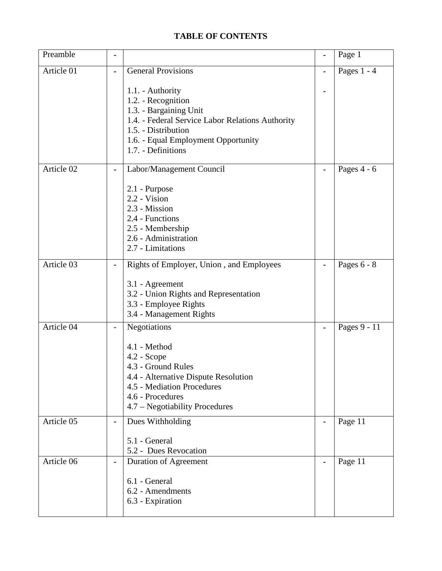#### **TABLE OF CONTENTS**

| Preamble   |                          |                                                                                                                                                                                                          |   | Page 1        |
|------------|--------------------------|----------------------------------------------------------------------------------------------------------------------------------------------------------------------------------------------------------|---|---------------|
| Article 01 | $\blacksquare$           | <b>General Provisions</b>                                                                                                                                                                                | - | Pages $1 - 4$ |
|            |                          | 1.1. - Authority<br>1.2. - Recognition<br>1.3. - Bargaining Unit<br>1.4. - Federal Service Labor Relations Authority<br>1.5. - Distribution<br>1.6. - Equal Employment Opportunity<br>1.7. - Definitions |   |               |
| Article 02 |                          | Labor/Management Council                                                                                                                                                                                 |   | Pages $4 - 6$ |
|            |                          | 2.1 - Purpose<br>2.2 - Vision<br>2.3 - Mission<br>2.4 - Functions<br>2.5 - Membership<br>2.6 - Administration<br>2.7 - Limitations                                                                       |   |               |
| Article 03 |                          | Rights of Employer, Union, and Employees                                                                                                                                                                 |   | Pages $6 - 8$ |
|            |                          | 3.1 - Agreement<br>3.2 - Union Rights and Representation<br>3.3 - Employee Rights<br>3.4 - Management Rights                                                                                             |   |               |
| Article 04 | $\overline{\phantom{a}}$ | Negotiations                                                                                                                                                                                             |   | Pages 9 - 11  |
|            |                          | 4.1 - Method<br>$4.2 - Scope$<br>4.3 - Ground Rules<br>4.4 - Alternative Dispute Resolution<br>4.5 - Mediation Procedures<br>4.6 - Procedures<br>4.7 – Negotiability Procedures                          |   |               |
| Article 05 | $\blacksquare$           | Dues Withholding                                                                                                                                                                                         |   | Page 11       |
|            |                          | 5.1 - General<br>5.2 - Dues Revocation                                                                                                                                                                   |   |               |
| Article 06 | $\blacksquare$           | Duration of Agreement                                                                                                                                                                                    | - | Page 11       |
|            |                          | 6.1 - General<br>6.2 - Amendments<br>6.3 - Expiration                                                                                                                                                    |   |               |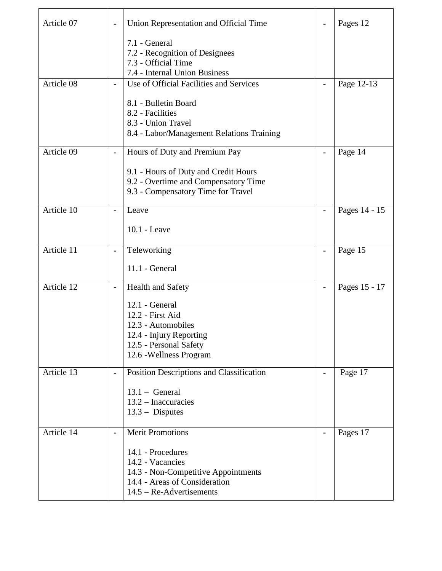| Article 07 |                | Union Representation and Official Time                                                                                                       |                | Pages 12      |
|------------|----------------|----------------------------------------------------------------------------------------------------------------------------------------------|----------------|---------------|
|            |                | 7.1 - General<br>7.2 - Recognition of Designees<br>7.3 - Official Time<br>7.4 - Internal Union Business                                      |                |               |
| Article 08 |                | Use of Official Facilities and Services                                                                                                      |                | Page 12-13    |
|            |                | 8.1 - Bulletin Board<br>8.2 - Facilities<br>8.3 - Union Travel<br>8.4 - Labor/Management Relations Training                                  |                |               |
| Article 09 | Ξ.             | Hours of Duty and Premium Pay                                                                                                                | $\blacksquare$ | Page 14       |
|            |                | 9.1 - Hours of Duty and Credit Hours<br>9.2 - Overtime and Compensatory Time<br>9.3 - Compensatory Time for Travel                           |                |               |
| Article 10 | $\blacksquare$ | Leave                                                                                                                                        |                | Pages 14 - 15 |
|            |                | 10.1 - Leave                                                                                                                                 |                |               |
| Article 11 | $\blacksquare$ | Teleworking                                                                                                                                  |                | Page 15       |
|            |                | $11.1$ - General                                                                                                                             |                |               |
| Article 12 |                | Health and Safety                                                                                                                            |                | Pages 15 - 17 |
|            |                | 12.1 - General<br>12.2 - First Aid<br>12.3 - Automobiles<br>12.4 - Injury Reporting<br>12.5 - Personal Safety<br>12.6 - Wellness Program     |                |               |
| Article 13 | $\blacksquare$ | Position Descriptions and Classification                                                                                                     | $\blacksquare$ | Page 17       |
|            |                | $13.1 - General$<br>13.2 - Inaccuracies<br>$13.3 - Disputes$                                                                                 |                |               |
| Article 14 | $\blacksquare$ | <b>Merit Promotions</b>                                                                                                                      | $\blacksquare$ | Pages 17      |
|            |                | 14.1 - Procedures<br>14.2 - Vacancies<br>14.3 - Non-Competitive Appointments<br>14.4 - Areas of Consideration<br>$14.5 - Re-Advert isements$ |                |               |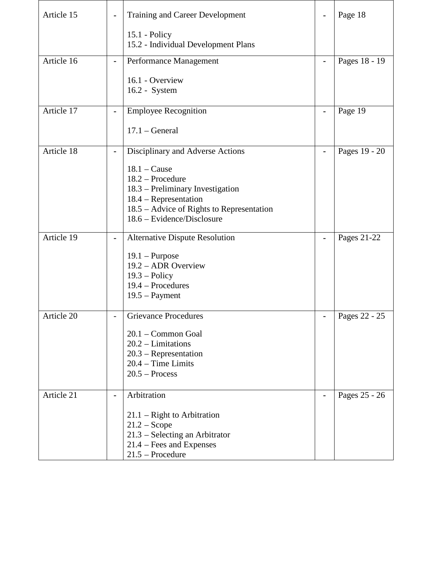| Article 15 |                              | Training and Career Development                                    |                | Page 18       |
|------------|------------------------------|--------------------------------------------------------------------|----------------|---------------|
|            |                              | $15.1 - Policy$<br>15.2 - Individual Development Plans             |                |               |
| Article 16 | $\blacksquare$               | Performance Management                                             |                | Pages 18 - 19 |
|            |                              | 16.1 - Overview<br>16.2 - System                                   |                |               |
| Article 17 |                              | <b>Employee Recognition</b>                                        |                | Page 19       |
|            |                              | $17.1 - General$                                                   |                |               |
| Article 18 | $\blacksquare$               | Disciplinary and Adverse Actions                                   | $\blacksquare$ | Pages 19 - 20 |
|            |                              | $18.1 - \text{Cause}$                                              |                |               |
|            |                              | 18.2 - Procedure                                                   |                |               |
|            |                              | 18.3 – Preliminary Investigation                                   |                |               |
|            |                              | 18.4 - Representation<br>18.5 – Advice of Rights to Representation |                |               |
|            |                              | 18.6 – Evidence/Disclosure                                         |                |               |
|            |                              |                                                                    |                |               |
| Article 19 | $\qquad \qquad \blacksquare$ | <b>Alternative Dispute Resolution</b>                              |                | Pages 21-22   |
|            |                              | $19.1 -$ Purpose                                                   |                |               |
|            |                              | 19.2 - ADR Overview                                                |                |               |
|            |                              | $19.3 - Policy$                                                    |                |               |
|            |                              | 19.4 – Procedures                                                  |                |               |
|            |                              | $19.5 - Payment$                                                   |                |               |
| Article 20 | $\overline{\phantom{a}}$     | <b>Grievance Procedures</b>                                        |                | Pages 22 - 25 |
|            |                              |                                                                    |                |               |
|            |                              | 20.1 - Common Goal                                                 |                |               |
|            |                              | $20.2 - Limitations$                                               |                |               |
|            |                              | $20.3$ – Representation<br>$20.4$ – Time Limits                    |                |               |
|            |                              | $20.5 - Process$                                                   |                |               |
|            |                              |                                                                    |                |               |
| Article 21 |                              | Arbitration                                                        |                | Pages 25 - 26 |
|            |                              | $21.1$ – Right to Arbitration                                      |                |               |
|            |                              | $21.2 - \text{Scope}$                                              |                |               |
|            |                              | 21.3 - Selecting an Arbitrator                                     |                |               |
|            |                              | 21.4 – Fees and Expenses<br>$21.5$ – Procedure                     |                |               |
|            |                              |                                                                    |                |               |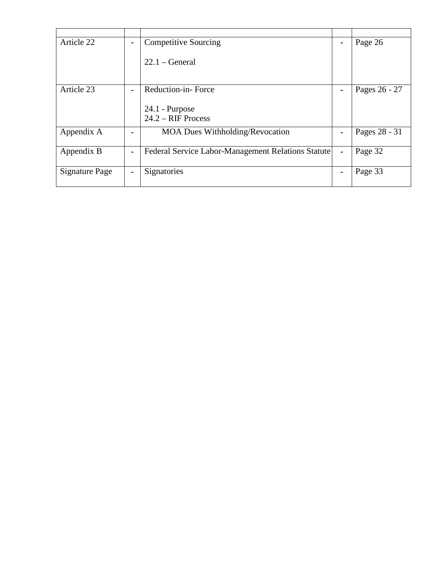| Article 22            | $\blacksquare$ | <b>Competitive Sourcing</b>                        | $\blacksquare$ | Page 26       |
|-----------------------|----------------|----------------------------------------------------|----------------|---------------|
|                       |                | $22.1 - General$                                   |                |               |
| Article 23            | $\blacksquare$ | Reduction-in-Force                                 | $\blacksquare$ | Pages 26 - 27 |
|                       |                | $24.1$ - Purpose<br>$24.2 - RIF$ Process           |                |               |
| Appendix A            |                | <b>MOA Dues Withholding/Revocation</b>             | $\blacksquare$ | Pages 28 - 31 |
| Appendix B            | $\blacksquare$ | Federal Service Labor-Management Relations Statute | $\blacksquare$ | Page 32       |
| <b>Signature Page</b> | $\blacksquare$ | Signatories                                        | $\blacksquare$ | Page 33       |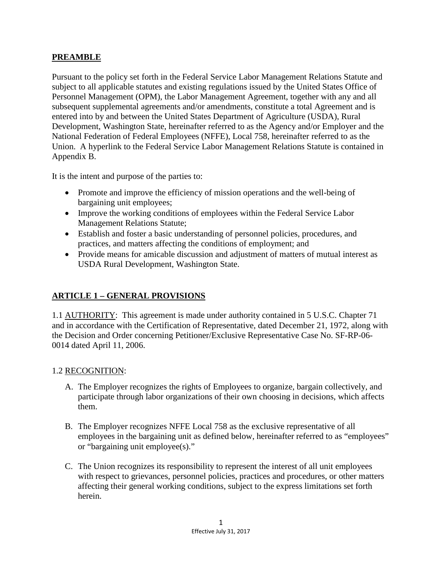#### **PREAMBLE**

Pursuant to the policy set forth in the Federal Service Labor Management Relations Statute and subject to all applicable statutes and existing regulations issued by the United States Office of Personnel Management (OPM), the Labor Management Agreement, together with any and all subsequent supplemental agreements and/or amendments, constitute a total Agreement and is entered into by and between the United States Department of Agriculture (USDA), Rural Development, Washington State, hereinafter referred to as the Agency and/or Employer and the National Federation of Federal Employees (NFFE), Local 758, hereinafter referred to as the Union. A hyperlink to the Federal Service Labor Management Relations Statute is contained in Appendix B.

It is the intent and purpose of the parties to:

- Promote and improve the efficiency of mission operations and the well-being of bargaining unit employees;
- Improve the working conditions of employees within the Federal Service Labor Management Relations Statute;
- Establish and foster a basic understanding of personnel policies, procedures, and practices, and matters affecting the conditions of employment; and
- Provide means for amicable discussion and adjustment of matters of mutual interest as USDA Rural Development, Washington State.

#### **ARTICLE 1 – GENERAL PROVISIONS**

1.1 AUTHORITY: This agreement is made under authority contained in 5 U.S.C. Chapter 71 and in accordance with the Certification of Representative, dated December 21, 1972, along with the Decision and Order concerning Petitioner/Exclusive Representative Case No. SF-RP-06- 0014 dated April 11, 2006.

#### 1.2 RECOGNITION:

- A. The Employer recognizes the rights of Employees to organize, bargain collectively, and participate through labor organizations of their own choosing in decisions, which affects them.
- B. The Employer recognizes NFFE Local 758 as the exclusive representative of all employees in the bargaining unit as defined below, hereinafter referred to as "employees" or "bargaining unit employee(s)."
- C. The Union recognizes its responsibility to represent the interest of all unit employees with respect to grievances, personnel policies, practices and procedures, or other matters affecting their general working conditions, subject to the express limitations set forth herein.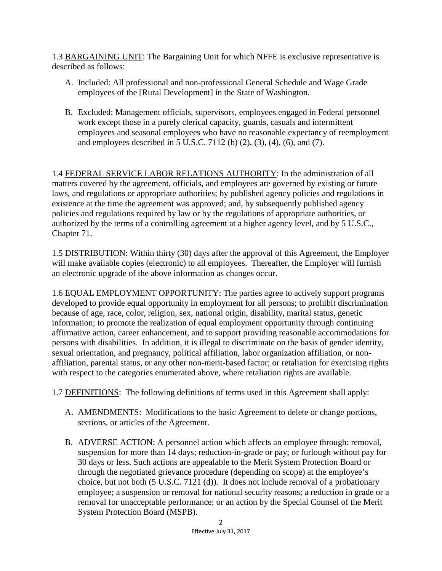1.3 BARGAINING UNIT: The Bargaining Unit for which NFFE is exclusive representative is described as follows:

- A. Included: All professional and non-professional General Schedule and Wage Grade employees of the [Rural Development] in the State of Washington.
- B. Excluded: Management officials, supervisors, employees engaged in Federal personnel work except those in a purely clerical capacity, guards, casuals and intermittent employees and seasonal employees who have no reasonable expectancy of reemployment and employees described in 5 U.S.C. 7112 (b) (2), (3), (4), (6), and (7).

1.4 FEDERAL SERVICE LABOR RELATIONS AUTHORITY: In the administration of all matters covered by the agreement, officials, and employees are governed by existing or future laws, and regulations or appropriate authorities; by published agency policies and regulations in existence at the time the agreement was approved; and, by subsequently published agency policies and regulations required by law or by the regulations of appropriate authorities, or authorized by the terms of a controlling agreement at a higher agency level, and by 5 U.S.C., Chapter 71.

1.5 DISTRIBUTION: Within thirty (30) days after the approval of this Agreement, the Employer will make available copies (electronic) to all employees. Thereafter, the Employer will furnish an electronic upgrade of the above information as changes occur.

1.6 EQUAL EMPLOYMENT OPPORTUNITY: The parties agree to actively support programs developed to provide equal opportunity in employment for all persons; to prohibit discrimination because of age, race, color, religion, sex, national origin, disability, marital status, genetic information; to promote the realization of equal employment opportunity through continuing affirmative action, career enhancement, and to support providing reasonable accommodations for persons with disabilities. In addition, it is illegal to discriminate on the basis of gender identity, sexual orientation, and pregnancy, political affiliation, labor organization affiliation, or nonaffiliation, parental status, or any other non-merit-based factor; or retaliation for exercising rights with respect to the categories enumerated above, where retaliation rights are available.

1.7 DEFINITIONS: The following definitions of terms used in this Agreement shall apply:

- A. AMENDMENTS: Modifications to the basic Agreement to delete or change portions, sections, or articles of the Agreement.
- B. ADVERSE ACTION: A personnel action which affects an employee through: removal, suspension for more than 14 days; reduction-in-grade or pay; or furlough without pay for 30 days or less. Such actions are appealable to the Merit System Protection Board or through the negotiated grievance procedure (depending on scope) at the employee's choice, but not both (5 U.S.C. 7121 (d)). It does not include removal of a probationary employee; a suspension or removal for national security reasons; a reduction in grade or a removal for unacceptable performance; or an action by the Special Counsel of the Merit System Protection Board (MSPB).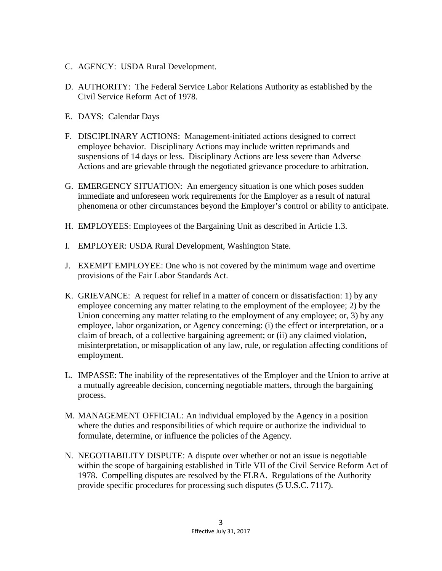- C. AGENCY: USDA Rural Development.
- D. AUTHORITY: The Federal Service Labor Relations Authority as established by the Civil Service Reform Act of 1978.
- E. DAYS: Calendar Days
- F. DISCIPLINARY ACTIONS: Management-initiated actions designed to correct employee behavior. Disciplinary Actions may include written reprimands and suspensions of 14 days or less. Disciplinary Actions are less severe than Adverse Actions and are grievable through the negotiated grievance procedure to arbitration.
- G. EMERGENCY SITUATION: An emergency situation is one which poses sudden immediate and unforeseen work requirements for the Employer as a result of natural phenomena or other circumstances beyond the Employer's control or ability to anticipate.
- H. EMPLOYEES: Employees of the Bargaining Unit as described in Article 1.3.
- I. EMPLOYER: USDA Rural Development, Washington State.
- J. EXEMPT EMPLOYEE: One who is not covered by the minimum wage and overtime provisions of the Fair Labor Standards Act.
- K. GRIEVANCE: A request for relief in a matter of concern or dissatisfaction: 1) by any employee concerning any matter relating to the employment of the employee; 2) by the Union concerning any matter relating to the employment of any employee; or, 3) by any employee, labor organization, or Agency concerning: (i) the effect or interpretation, or a claim of breach, of a collective bargaining agreement; or (ii) any claimed violation, misinterpretation, or misapplication of any law, rule, or regulation affecting conditions of employment.
- L. IMPASSE: The inability of the representatives of the Employer and the Union to arrive at a mutually agreeable decision, concerning negotiable matters, through the bargaining process.
- M. MANAGEMENT OFFICIAL: An individual employed by the Agency in a position where the duties and responsibilities of which require or authorize the individual to formulate, determine, or influence the policies of the Agency.
- N. NEGOTIABILITY DISPUTE: A dispute over whether or not an issue is negotiable within the scope of bargaining established in Title VII of the Civil Service Reform Act of 1978. Compelling disputes are resolved by the FLRA. Regulations of the Authority provide specific procedures for processing such disputes (5 U.S.C. 7117).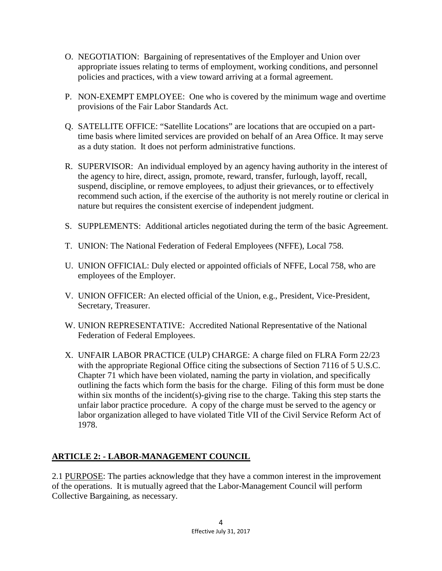- O. NEGOTIATION: Bargaining of representatives of the Employer and Union over appropriate issues relating to terms of employment, working conditions, and personnel policies and practices, with a view toward arriving at a formal agreement.
- P. NON-EXEMPT EMPLOYEE: One who is covered by the minimum wage and overtime provisions of the Fair Labor Standards Act.
- Q. SATELLITE OFFICE: "Satellite Locations" are locations that are occupied on a parttime basis where limited services are provided on behalf of an Area Office. It may serve as a duty station. It does not perform administrative functions.
- R. SUPERVISOR: An individual employed by an agency having authority in the interest of the agency to hire, direct, assign, promote, reward, transfer, furlough, layoff, recall, suspend, discipline, or remove employees, to adjust their grievances, or to effectively recommend such action, if the exercise of the authority is not merely routine or clerical in nature but requires the consistent exercise of independent judgment.
- S. SUPPLEMENTS: Additional articles negotiated during the term of the basic Agreement.
- T. UNION: The National Federation of Federal Employees (NFFE), Local 758.
- U. UNION OFFICIAL: Duly elected or appointed officials of NFFE, Local 758, who are employees of the Employer.
- V. UNION OFFICER: An elected official of the Union, e.g., President, Vice-President, Secretary, Treasurer.
- W. UNION REPRESENTATIVE: Accredited National Representative of the National Federation of Federal Employees.
- X. UNFAIR LABOR PRACTICE (ULP) CHARGE: A charge filed on FLRA Form 22/23 with the appropriate Regional Office citing the subsections of Section 7116 of 5 U.S.C. Chapter 71 which have been violated, naming the party in violation, and specifically outlining the facts which form the basis for the charge. Filing of this form must be done within six months of the incident(s)-giving rise to the charge. Taking this step starts the unfair labor practice procedure. A copy of the charge must be served to the agency or labor organization alleged to have violated Title VII of the Civil Service Reform Act of 1978.

## **ARTICLE 2: - LABOR-MANAGEMENT COUNCIL**

2.1 PURPOSE: The parties acknowledge that they have a common interest in the improvement of the operations. It is mutually agreed that the Labor-Management Council will perform Collective Bargaining, as necessary.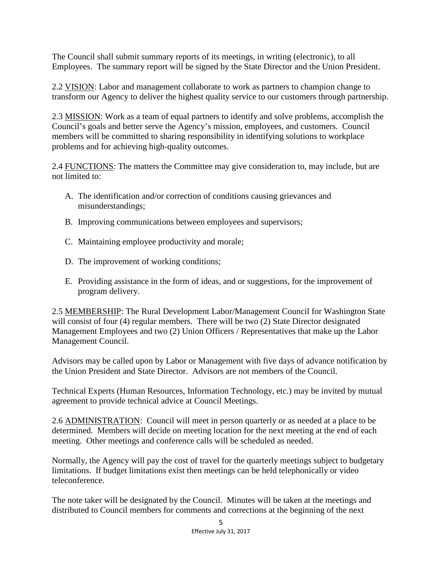The Council shall submit summary reports of its meetings, in writing (electronic), to all Employees. The summary report will be signed by the State Director and the Union President.

2.2 VISION: Labor and management collaborate to work as partners to champion change to transform our Agency to deliver the highest quality service to our customers through partnership.

2.3 MISSION: Work as a team of equal partners to identify and solve problems, accomplish the Council's goals and better serve the Agency's mission, employees, and customers. Council members will be committed to sharing responsibility in identifying solutions to workplace problems and for achieving high-quality outcomes.

2.4 FUNCTIONS: The matters the Committee may give consideration to, may include, but are not limited to:

- A. The identification and/or correction of conditions causing grievances and misunderstandings;
- B. Improving communications between employees and supervisors;
- C. Maintaining employee productivity and morale;
- D. The improvement of working conditions;
- E. Providing assistance in the form of ideas, and or suggestions, for the improvement of program delivery.

2.5 MEMBERSHIP: The Rural Development Labor/Management Council for Washington State will consist of four (4) regular members. There will be two (2) State Director designated Management Employees and two (2) Union Officers / Representatives that make up the Labor Management Council.

Advisors may be called upon by Labor or Management with five days of advance notification by the Union President and State Director. Advisors are not members of the Council.

Technical Experts (Human Resources, Information Technology, etc.) may be invited by mutual agreement to provide technical advice at Council Meetings.

2.6 ADMINISTRATION: Council will meet in person quarterly or as needed at a place to be determined. Members will decide on meeting location for the next meeting at the end of each meeting. Other meetings and conference calls will be scheduled as needed.

Normally, the Agency will pay the cost of travel for the quarterly meetings subject to budgetary limitations. If budget limitations exist then meetings can be held telephonically or video teleconference.

The note taker will be designated by the Council. Minutes will be taken at the meetings and distributed to Council members for comments and corrections at the beginning of the next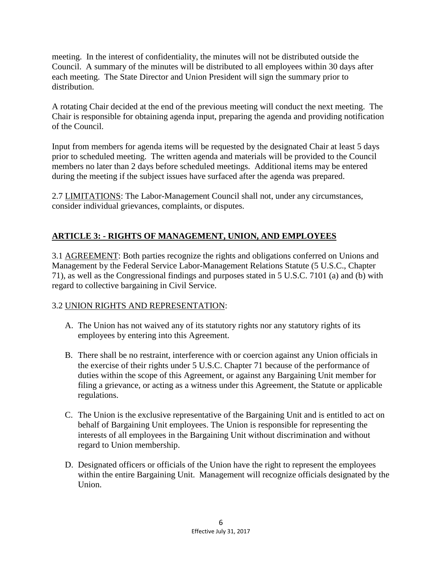meeting. In the interest of confidentiality, the minutes will not be distributed outside the Council. A summary of the minutes will be distributed to all employees within 30 days after each meeting. The State Director and Union President will sign the summary prior to distribution.

A rotating Chair decided at the end of the previous meeting will conduct the next meeting. The Chair is responsible for obtaining agenda input, preparing the agenda and providing notification of the Council.

Input from members for agenda items will be requested by the designated Chair at least 5 days prior to scheduled meeting. The written agenda and materials will be provided to the Council members no later than 2 days before scheduled meetings. Additional items may be entered during the meeting if the subject issues have surfaced after the agenda was prepared.

2.7 LIMITATIONS: The Labor-Management Council shall not, under any circumstances, consider individual grievances, complaints, or disputes.

## **ARTICLE 3: - RIGHTS OF MANAGEMENT, UNION, AND EMPLOYEES**

3.1 AGREEMENT: Both parties recognize the rights and obligations conferred on Unions and Management by the Federal Service Labor-Management Relations Statute (5 U.S.C., Chapter 71), as well as the Congressional findings and purposes stated in 5 U.S.C. 7101 (a) and (b) with regard to collective bargaining in Civil Service.

#### 3.2 UNION RIGHTS AND REPRESENTATION:

- A. The Union has not waived any of its statutory rights nor any statutory rights of its employees by entering into this Agreement.
- B. There shall be no restraint, interference with or coercion against any Union officials in the exercise of their rights under 5 U.S.C. Chapter 71 because of the performance of duties within the scope of this Agreement, or against any Bargaining Unit member for filing a grievance, or acting as a witness under this Agreement, the Statute or applicable regulations.
- C. The Union is the exclusive representative of the Bargaining Unit and is entitled to act on behalf of Bargaining Unit employees. The Union is responsible for representing the interests of all employees in the Bargaining Unit without discrimination and without regard to Union membership.
- D. Designated officers or officials of the Union have the right to represent the employees within the entire Bargaining Unit. Management will recognize officials designated by the Union.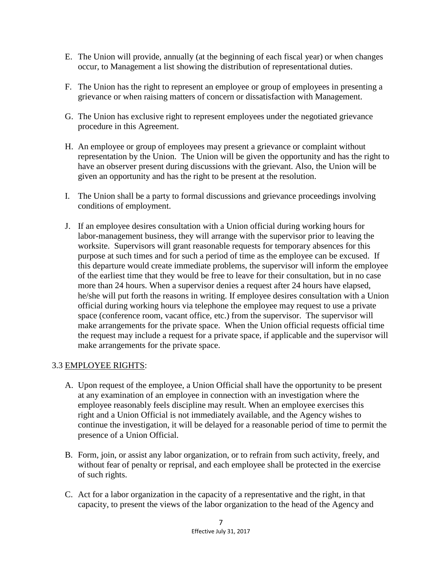- E. The Union will provide, annually (at the beginning of each fiscal year) or when changes occur, to Management a list showing the distribution of representational duties.
- F. The Union has the right to represent an employee or group of employees in presenting a grievance or when raising matters of concern or dissatisfaction with Management.
- G. The Union has exclusive right to represent employees under the negotiated grievance procedure in this Agreement.
- H. An employee or group of employees may present a grievance or complaint without representation by the Union. The Union will be given the opportunity and has the right to have an observer present during discussions with the grievant. Also, the Union will be given an opportunity and has the right to be present at the resolution.
- I. The Union shall be a party to formal discussions and grievance proceedings involving conditions of employment.
- J. If an employee desires consultation with a Union official during working hours for labor-management business, they will arrange with the supervisor prior to leaving the worksite. Supervisors will grant reasonable requests for temporary absences for this purpose at such times and for such a period of time as the employee can be excused. If this departure would create immediate problems, the supervisor will inform the employee of the earliest time that they would be free to leave for their consultation, but in no case more than 24 hours. When a supervisor denies a request after 24 hours have elapsed, he/she will put forth the reasons in writing. If employee desires consultation with a Union official during working hours via telephone the employee may request to use a private space (conference room, vacant office, etc.) from the supervisor. The supervisor will make arrangements for the private space. When the Union official requests official time the request may include a request for a private space, if applicable and the supervisor will make arrangements for the private space.

#### 3.3 EMPLOYEE RIGHTS:

- A. Upon request of the employee, a Union Official shall have the opportunity to be present at any examination of an employee in connection with an investigation where the employee reasonably feels discipline may result. When an employee exercises this right and a Union Official is not immediately available, and the Agency wishes to continue the investigation, it will be delayed for a reasonable period of time to permit the presence of a Union Official.
- B. Form, join, or assist any labor organization, or to refrain from such activity, freely, and without fear of penalty or reprisal, and each employee shall be protected in the exercise of such rights.
- C. Act for a labor organization in the capacity of a representative and the right, in that capacity, to present the views of the labor organization to the head of the Agency and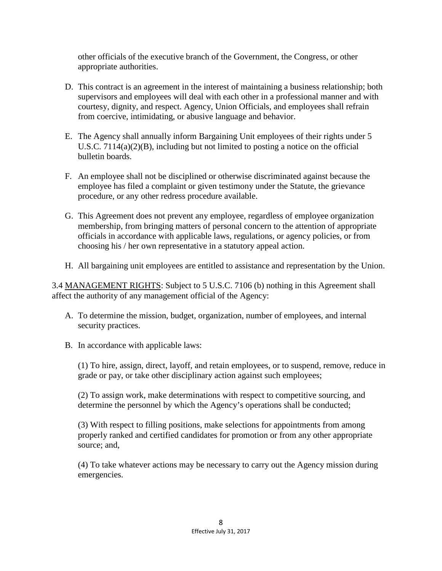other officials of the executive branch of the Government, the Congress, or other appropriate authorities.

- D. This contract is an agreement in the interest of maintaining a business relationship; both supervisors and employees will deal with each other in a professional manner and with courtesy, dignity, and respect. Agency, Union Officials, and employees shall refrain from coercive, intimidating, or abusive language and behavior.
- E. The Agency shall annually inform Bargaining Unit employees of their rights under 5 U.S.C. 7114(a)(2)(B), including but not limited to posting a notice on the official bulletin boards.
- F. An employee shall not be disciplined or otherwise discriminated against because the employee has filed a complaint or given testimony under the Statute, the grievance procedure, or any other redress procedure available.
- G. This Agreement does not prevent any employee, regardless of employee organization membership, from bringing matters of personal concern to the attention of appropriate officials in accordance with applicable laws, regulations, or agency policies, or from choosing his / her own representative in a statutory appeal action.
- H. All bargaining unit employees are entitled to assistance and representation by the Union.

3.4 MANAGEMENT RIGHTS: Subject to 5 U.S.C. 7106 (b) nothing in this Agreement shall affect the authority of any management official of the Agency:

- A. To determine the mission, budget, organization, number of employees, and internal security practices.
- B. In accordance with applicable laws:

 (1) To hire, assign, direct, layoff, and retain employees, or to suspend, remove, reduce in grade or pay, or take other disciplinary action against such employees;

 (2) To assign work, make determinations with respect to competitive sourcing, and determine the personnel by which the Agency's operations shall be conducted;

 (3) With respect to filling positions, make selections for appointments from among properly ranked and certified candidates for promotion or from any other appropriate source; and,

(4) To take whatever actions may be necessary to carry out the Agency mission during emergencies.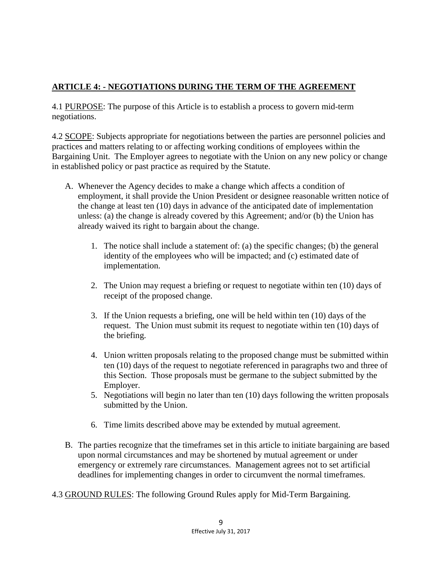## **ARTICLE 4: - NEGOTIATIONS DURING THE TERM OF THE AGREEMENT**

4.1 PURPOSE: The purpose of this Article is to establish a process to govern mid-term negotiations.

4.2 SCOPE: Subjects appropriate for negotiations between the parties are personnel policies and practices and matters relating to or affecting working conditions of employees within the Bargaining Unit. The Employer agrees to negotiate with the Union on any new policy or change in established policy or past practice as required by the Statute.

- A. Whenever the Agency decides to make a change which affects a condition of employment, it shall provide the Union President or designee reasonable written notice of the change at least ten (10) days in advance of the anticipated date of implementation unless: (a) the change is already covered by this Agreement; and/or (b) the Union has already waived its right to bargain about the change.
	- 1. The notice shall include a statement of: (a) the specific changes; (b) the general identity of the employees who will be impacted; and (c) estimated date of implementation.
	- 2. The Union may request a briefing or request to negotiate within ten (10) days of receipt of the proposed change.
	- 3. If the Union requests a briefing, one will be held within ten (10) days of the request. The Union must submit its request to negotiate within ten (10) days of the briefing.
	- 4. Union written proposals relating to the proposed change must be submitted within ten (10) days of the request to negotiate referenced in paragraphs two and three of this Section. Those proposals must be germane to the subject submitted by the Employer.
	- 5. Negotiations will begin no later than ten (10) days following the written proposals submitted by the Union.
	- 6. Time limits described above may be extended by mutual agreement.
- B. The parties recognize that the timeframes set in this article to initiate bargaining are based upon normal circumstances and may be shortened by mutual agreement or under emergency or extremely rare circumstances. Management agrees not to set artificial deadlines for implementing changes in order to circumvent the normal timeframes.
- 4.3 GROUND RULES: The following Ground Rules apply for Mid-Term Bargaining.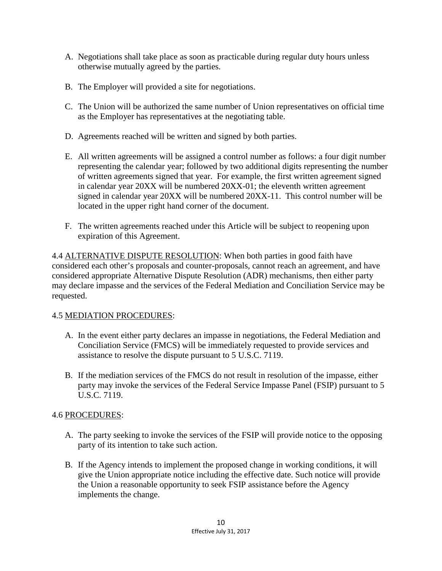- A. Negotiations shall take place as soon as practicable during regular duty hours unless otherwise mutually agreed by the parties.
- B. The Employer will provided a site for negotiations.
- C. The Union will be authorized the same number of Union representatives on official time as the Employer has representatives at the negotiating table.
- D. Agreements reached will be written and signed by both parties.
- E. All written agreements will be assigned a control number as follows: a four digit number representing the calendar year; followed by two additional digits representing the number of written agreements signed that year. For example, the first written agreement signed in calendar year 20XX will be numbered 20XX-01; the eleventh written agreement signed in calendar year 20XX will be numbered 20XX-11. This control number will be located in the upper right hand corner of the document.
- F. The written agreements reached under this Article will be subject to reopening upon expiration of this Agreement.

4.4 ALTERNATIVE DISPUTE RESOLUTION: When both parties in good faith have considered each other's proposals and counter-proposals, cannot reach an agreement, and have considered appropriate Alternative Dispute Resolution (ADR) mechanisms, then either party may declare impasse and the services of the Federal Mediation and Conciliation Service may be requested.

#### 4.5 MEDIATION PROCEDURES:

- A. In the event either party declares an impasse in negotiations, the Federal Mediation and Conciliation Service (FMCS) will be immediately requested to provide services and assistance to resolve the dispute pursuant to 5 U.S.C. 7119.
- B. If the mediation services of the FMCS do not result in resolution of the impasse, either party may invoke the services of the Federal Service Impasse Panel (FSIP) pursuant to 5 U.S.C. 7119.

#### 4.6 PROCEDURES:

- A. The party seeking to invoke the services of the FSIP will provide notice to the opposing party of its intention to take such action.
- B. If the Agency intends to implement the proposed change in working conditions, it will give the Union appropriate notice including the effective date. Such notice will provide the Union a reasonable opportunity to seek FSIP assistance before the Agency implements the change.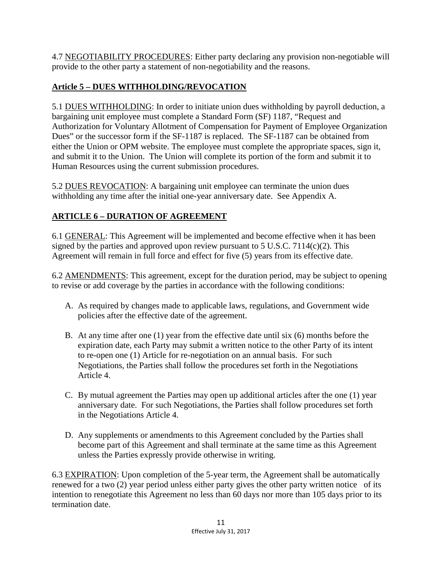4.7 NEGOTIABILITY PROCEDURES: Either party declaring any provision non-negotiable will provide to the other party a statement of non-negotiability and the reasons.

## **Article 5 – DUES WITHHOLDING/REVOCATION**

5.1 DUES WITHHOLDING: In order to initiate union dues withholding by payroll deduction, a bargaining unit employee must complete a Standard Form (SF) 1187, "Request and Authorization for Voluntary Allotment of Compensation for Payment of Employee Organization Dues" or the successor form if the SF-1187 is replaced. The SF-1187 can be obtained from either the Union or OPM website. The employee must complete the appropriate spaces, sign it, and submit it to the Union. The Union will complete its portion of the form and submit it to Human Resources using the current submission procedures.

5.2 DUES REVOCATION: A bargaining unit employee can terminate the union dues withholding any time after the initial one-year anniversary date. See Appendix A.

# **ARTICLE 6 – DURATION OF AGREEMENT**

6.1 GENERAL: This Agreement will be implemented and become effective when it has been signed by the parties and approved upon review pursuant to 5 U.S.C. 7114(c)(2). This Agreement will remain in full force and effect for five (5) years from its effective date.

6.2 AMENDMENTS: This agreement, except for the duration period, may be subject to opening to revise or add coverage by the parties in accordance with the following conditions:

- A. As required by changes made to applicable laws, regulations, and Government wide policies after the effective date of the agreement.
- B. At any time after one (1) year from the effective date until six (6) months before the expiration date, each Party may submit a written notice to the other Party of its intent to re-open one (1) Article for re-negotiation on an annual basis. For such Negotiations, the Parties shall follow the procedures set forth in the Negotiations Article 4.
- C. By mutual agreement the Parties may open up additional articles after the one (1) year anniversary date. For such Negotiations, the Parties shall follow procedures set forth in the Negotiations Article 4.
- D. Any supplements or amendments to this Agreement concluded by the Parties shall become part of this Agreement and shall terminate at the same time as this Agreement unless the Parties expressly provide otherwise in writing.

6.3 EXPIRATION: Upon completion of the 5-year term, the Agreement shall be automatically renewed for a two (2) year period unless either party gives the other party written notice of its intention to renegotiate this Agreement no less than 60 days nor more than 105 days prior to its termination date.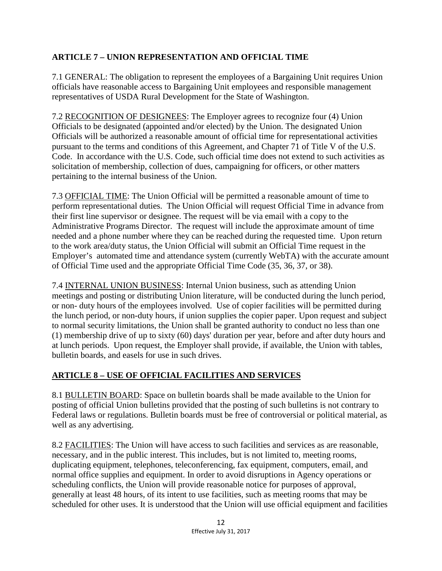## **ARTICLE 7 – UNION REPRESENTATION AND OFFICIAL TIME**

7.1 GENERAL: The obligation to represent the employees of a Bargaining Unit requires Union officials have reasonable access to Bargaining Unit employees and responsible management representatives of USDA Rural Development for the State of Washington.

7.2 RECOGNITION OF DESIGNEES: The Employer agrees to recognize four (4) Union Officials to be designated (appointed and/or elected) by the Union. The designated Union Officials will be authorized a reasonable amount of official time for representational activities pursuant to the terms and conditions of this Agreement, and Chapter 71 of Title V of the U.S. Code. In accordance with the U.S. Code, such official time does not extend to such activities as solicitation of membership, collection of dues, campaigning for officers, or other matters pertaining to the internal business of the Union.

7.3 OFFICIAL TIME: The Union Official will be permitted a reasonable amount of time to perform representational duties. The Union Official will request Official Time in advance from their first line supervisor or designee. The request will be via email with a copy to the Administrative Programs Director. The request will include the approximate amount of time needed and a phone number where they can be reached during the requested time. Upon return to the work area/duty status, the Union Official will submit an Official Time request in the Employer's automated time and attendance system (currently WebTA) with the accurate amount of Official Time used and the appropriate Official Time Code (35, 36, 37, or 38).

7.4 INTERNAL UNION BUSINESS: Internal Union business, such as attending Union meetings and posting or distributing Union literature, will be conducted during the lunch period, or non- duty hours of the employees involved. Use of copier facilities will be permitted during the lunch period, or non-duty hours, if union supplies the copier paper. Upon request and subject to normal security limitations, the Union shall be granted authority to conduct no less than one (1) membership drive of up to sixty (60) days' duration per year, before and after duty hours and at lunch periods. Upon request, the Employer shall provide, if available, the Union with tables, bulletin boards, and easels for use in such drives.

## **ARTICLE 8 – USE OF OFFICIAL FACILITIES AND SERVICES**

8.1 BULLETIN BOARD: Space on bulletin boards shall be made available to the Union for posting of official Union bulletins provided that the posting of such bulletins is not contrary to Federal laws or regulations. Bulletin boards must be free of controversial or political material, as well as any advertising.

8.2 FACILITIES: The Union will have access to such facilities and services as are reasonable, necessary, and in the public interest. This includes, but is not limited to, meeting rooms, duplicating equipment, telephones, teleconferencing, fax equipment, computers, email, and normal office supplies and equipment. In order to avoid disruptions in Agency operations or scheduling conflicts, the Union will provide reasonable notice for purposes of approval, generally at least 48 hours, of its intent to use facilities, such as meeting rooms that may be scheduled for other uses. It is understood that the Union will use official equipment and facilities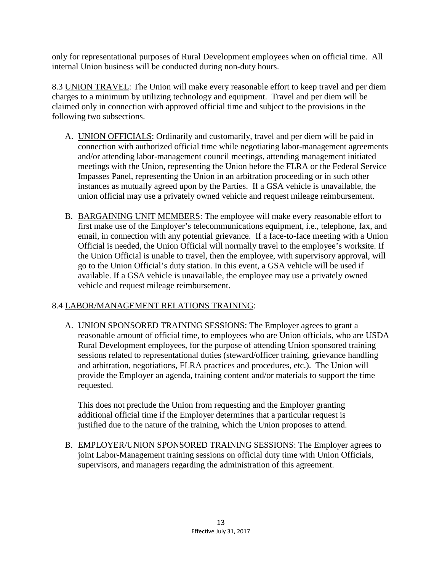only for representational purposes of Rural Development employees when on official time. All internal Union business will be conducted during non-duty hours.

8.3 UNION TRAVEL: The Union will make every reasonable effort to keep travel and per diem charges to a minimum by utilizing technology and equipment. Travel and per diem will be claimed only in connection with approved official time and subject to the provisions in the following two subsections.

- A. UNION OFFICIALS: Ordinarily and customarily, travel and per diem will be paid in connection with authorized official time while negotiating labor-management agreements and/or attending labor-management council meetings, attending management initiated meetings with the Union, representing the Union before the FLRA or the Federal Service Impasses Panel, representing the Union in an arbitration proceeding or in such other instances as mutually agreed upon by the Parties. If a GSA vehicle is unavailable, the union official may use a privately owned vehicle and request mileage reimbursement.
- B. BARGAINING UNIT MEMBERS: The employee will make every reasonable effort to first make use of the Employer's telecommunications equipment, i.e., telephone, fax, and email, in connection with any potential grievance. If a face-to-face meeting with a Union Official is needed, the Union Official will normally travel to the employee's worksite. If the Union Official is unable to travel, then the employee, with supervisory approval, will go to the Union Official's duty station. In this event, a GSA vehicle will be used if available. If a GSA vehicle is unavailable, the employee may use a privately owned vehicle and request mileage reimbursement.

## 8.4 LABOR/MANAGEMENT RELATIONS TRAINING:

A. UNION SPONSORED TRAINING SESSIONS: The Employer agrees to grant a reasonable amount of official time, to employees who are Union officials, who are USDA Rural Development employees, for the purpose of attending Union sponsored training sessions related to representational duties (steward/officer training, grievance handling and arbitration, negotiations, FLRA practices and procedures, etc.). The Union will provide the Employer an agenda, training content and/or materials to support the time requested.

This does not preclude the Union from requesting and the Employer granting additional official time if the Employer determines that a particular request is justified due to the nature of the training, which the Union proposes to attend.

B. EMPLOYER/UNION SPONSORED TRAINING SESSIONS: The Employer agrees to joint Labor-Management training sessions on official duty time with Union Officials, supervisors, and managers regarding the administration of this agreement.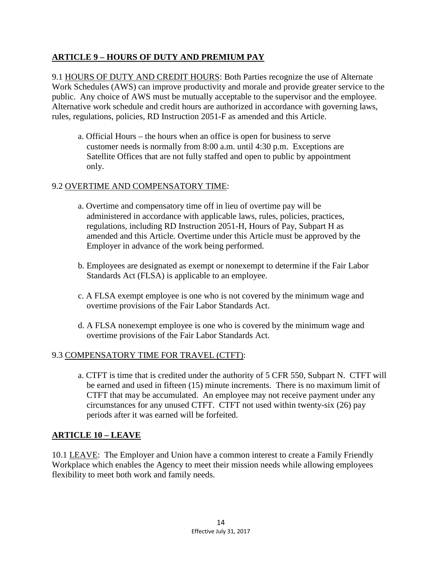### **ARTICLE 9 – HOURS OF DUTY AND PREMIUM PAY**

9.1 HOURS OF DUTY AND CREDIT HOURS: Both Parties recognize the use of Alternate Work Schedules (AWS) can improve productivity and morale and provide greater service to the public. Any choice of AWS must be mutually acceptable to the supervisor and the employee. Alternative work schedule and credit hours are authorized in accordance with governing laws, rules, regulations, policies, RD Instruction 2051-F as amended and this Article.

a. Official Hours – the hours when an office is open for business to serve customer needs is normally from 8:00 a.m. until 4:30 p.m. Exceptions are Satellite Offices that are not fully staffed and open to public by appointment only.

#### 9.2 OVERTIME AND COMPENSATORY TIME:

- a. Overtime and compensatory time off in lieu of overtime pay will be administered in accordance with applicable laws, rules, policies, practices, regulations, including RD Instruction 2051-H, Hours of Pay, Subpart H as amended and this Article. Overtime under this Article must be approved by the Employer in advance of the work being performed.
- b. Employees are designated as exempt or nonexempt to determine if the Fair Labor Standards Act (FLSA) is applicable to an employee.
- c. A FLSA exempt employee is one who is not covered by the minimum wage and overtime provisions of the Fair Labor Standards Act.
- d. A FLSA nonexempt employee is one who is covered by the minimum wage and overtime provisions of the Fair Labor Standards Act.

#### 9.3 COMPENSATORY TIME FOR TRAVEL (CTFT):

a. CTFT is time that is credited under the authority of 5 CFR 550, Subpart N. CTFT will be earned and used in fifteen (15) minute increments. There is no maximum limit of CTFT that may be accumulated. An employee may not receive payment under any circumstances for any unused CTFT. CTFT not used within twenty-six (26) pay periods after it was earned will be forfeited.

#### **ARTICLE 10 – LEAVE**

10.1 LEAVE: The Employer and Union have a common interest to create a Family Friendly Workplace which enables the Agency to meet their mission needs while allowing employees flexibility to meet both work and family needs.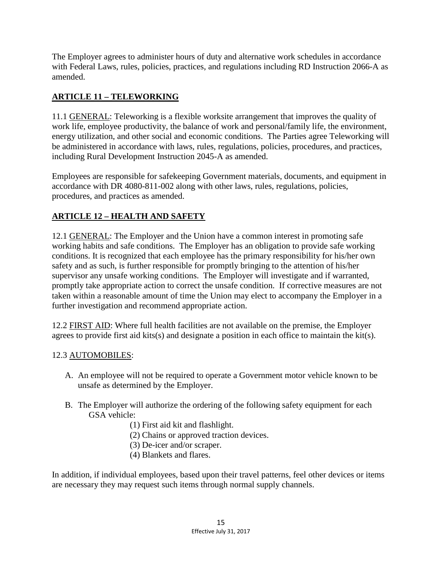The Employer agrees to administer hours of duty and alternative work schedules in accordance with Federal Laws, rules, policies, practices, and regulations including RD Instruction 2066-A as amended.

## **ARTICLE 11 – TELEWORKING**

11.1 GENERAL: Teleworking is a flexible worksite arrangement that improves the quality of work life, employee productivity, the balance of work and personal/family life, the environment, energy utilization, and other social and economic conditions. The Parties agree Teleworking will be administered in accordance with laws, rules, regulations, policies, procedures, and practices, including Rural Development Instruction 2045-A as amended.

Employees are responsible for safekeeping Government materials, documents, and equipment in accordance with DR 4080-811-002 along with other laws, rules, regulations, policies, procedures, and practices as amended.

# **ARTICLE 12 – HEALTH AND SAFETY**

12.1 GENERAL: The Employer and the Union have a common interest in promoting safe working habits and safe conditions. The Employer has an obligation to provide safe working conditions. It is recognized that each employee has the primary responsibility for his/her own safety and as such, is further responsible for promptly bringing to the attention of his/her supervisor any unsafe working conditions. The Employer will investigate and if warranted, promptly take appropriate action to correct the unsafe condition. If corrective measures are not taken within a reasonable amount of time the Union may elect to accompany the Employer in a further investigation and recommend appropriate action.

12.2 FIRST AID: Where full health facilities are not available on the premise, the Employer agrees to provide first aid kits(s) and designate a position in each office to maintain the kit(s).

## 12.3 AUTOMOBILES:

- A. An employee will not be required to operate a Government motor vehicle known to be unsafe as determined by the Employer.
- B. The Employer will authorize the ordering of the following safety equipment for each GSA vehicle:
	- (1) First aid kit and flashlight.
	- (2) Chains or approved traction devices.
	- (3) De-icer and/or scraper.
	- (4) Blankets and flares.

In addition, if individual employees, based upon their travel patterns, feel other devices or items are necessary they may request such items through normal supply channels.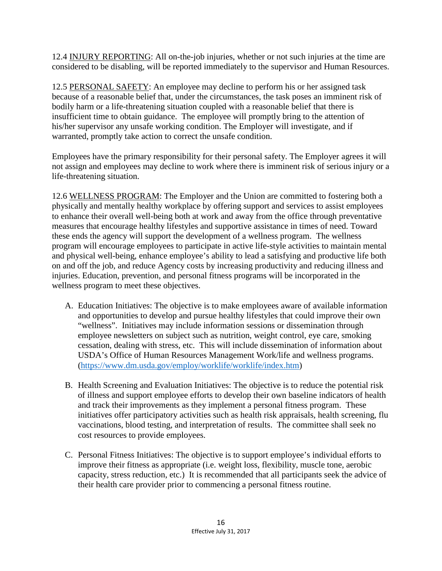12.4 INJURY REPORTING: All on-the-job injuries, whether or not such injuries at the time are considered to be disabling, will be reported immediately to the supervisor and Human Resources.

12.5 PERSONAL SAFETY: An employee may decline to perform his or her assigned task because of a reasonable belief that, under the circumstances, the task poses an imminent risk of bodily harm or a life-threatening situation coupled with a reasonable belief that there is insufficient time to obtain guidance. The employee will promptly bring to the attention of his/her supervisor any unsafe working condition. The Employer will investigate, and if warranted, promptly take action to correct the unsafe condition.

Employees have the primary responsibility for their personal safety. The Employer agrees it will not assign and employees may decline to work where there is imminent risk of serious injury or a life-threatening situation.

12.6 WELLNESS PROGRAM: The Employer and the Union are committed to fostering both a physically and mentally healthy workplace by offering support and services to assist employees to enhance their overall well-being both at work and away from the office through preventative measures that encourage healthy lifestyles and supportive assistance in times of need. Toward these ends the agency will support the development of a wellness program. The wellness program will encourage employees to participate in active life-style activities to maintain mental and physical well-being, enhance employee's ability to lead a satisfying and productive life both on and off the job, and reduce Agency costs by increasing productivity and reducing illness and injuries. Education, prevention, and personal fitness programs will be incorporated in the wellness program to meet these objectives.

- A. Education Initiatives: The objective is to make employees aware of available information and opportunities to develop and pursue healthy lifestyles that could improve their own "wellness". Initiatives may include information sessions or dissemination through employee newsletters on subject such as nutrition, weight control, eye care, smoking cessation, dealing with stress, etc. This will include dissemination of information about USDA's Office of Human Resources Management Work/life and wellness programs. [\(https://www.dm.usda.gov/employ/worklife/worklife/index.htm\)](https://www.dm.usda.gov/employ/worklife/worklife/index.htm)
- B. Health Screening and Evaluation Initiatives: The objective is to reduce the potential risk of illness and support employee efforts to develop their own baseline indicators of health and track their improvements as they implement a personal fitness program. These initiatives offer participatory activities such as health risk appraisals, health screening, flu vaccinations, blood testing, and interpretation of results. The committee shall seek no cost resources to provide employees.
- C. Personal Fitness Initiatives: The objective is to support employee's individual efforts to improve their fitness as appropriate (i.e. weight loss, flexibility, muscle tone, aerobic capacity, stress reduction, etc.) It is recommended that all participants seek the advice of their health care provider prior to commencing a personal fitness routine.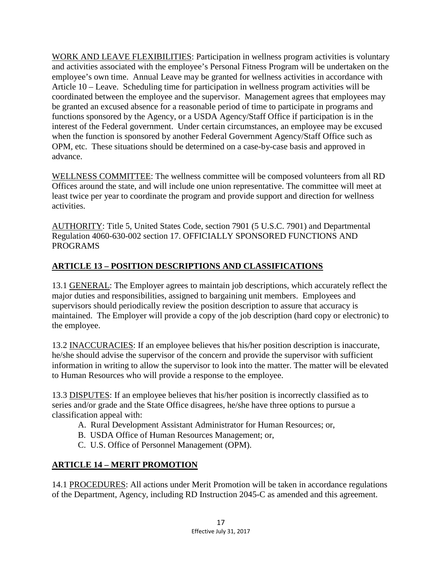WORK AND LEAVE FLEXIBILITIES: Participation in wellness program activities is voluntary and activities associated with the employee's Personal Fitness Program will be undertaken on the employee's own time. Annual Leave may be granted for wellness activities in accordance with Article 10 – Leave. Scheduling time for participation in wellness program activities will be coordinated between the employee and the supervisor. Management agrees that employees may be granted an excused absence for a reasonable period of time to participate in programs and functions sponsored by the Agency, or a USDA Agency/Staff Office if participation is in the interest of the Federal government. Under certain circumstances, an employee may be excused when the function is sponsored by another Federal Government Agency/Staff Office such as OPM, etc. These situations should be determined on a case-by-case basis and approved in advance.

WELLNESS COMMITTEE: The wellness committee will be composed volunteers from all RD Offices around the state, and will include one union representative. The committee will meet at least twice per year to coordinate the program and provide support and direction for wellness activities.

AUTHORITY: Title 5, United States Code, section 7901 (5 U.S.C. 7901) and Departmental Regulation 4060-630-002 section 17. OFFICIALLY SPONSORED FUNCTIONS AND PROGRAMS

## **ARTICLE 13 – POSITION DESCRIPTIONS AND CLASSIFICATIONS**

13.1 GENERAL: The Employer agrees to maintain job descriptions, which accurately reflect the major duties and responsibilities, assigned to bargaining unit members. Employees and supervisors should periodically review the position description to assure that accuracy is maintained. The Employer will provide a copy of the job description (hard copy or electronic) to the employee.

13.2 INACCURACIES: If an employee believes that his/her position description is inaccurate, he/she should advise the supervisor of the concern and provide the supervisor with sufficient information in writing to allow the supervisor to look into the matter. The matter will be elevated to Human Resources who will provide a response to the employee.

13.3 DISPUTES: If an employee believes that his/her position is incorrectly classified as to series and/or grade and the State Office disagrees, he/she have three options to pursue a classification appeal with:

- A. Rural Development Assistant Administrator for Human Resources; or,
- B. USDA Office of Human Resources Management; or,
- C. U.S. Office of Personnel Management (OPM).

## **ARTICLE 14 – MERIT PROMOTION**

14.1 PROCEDURES: All actions under Merit Promotion will be taken in accordance regulations of the Department, Agency, including RD Instruction 2045-C as amended and this agreement.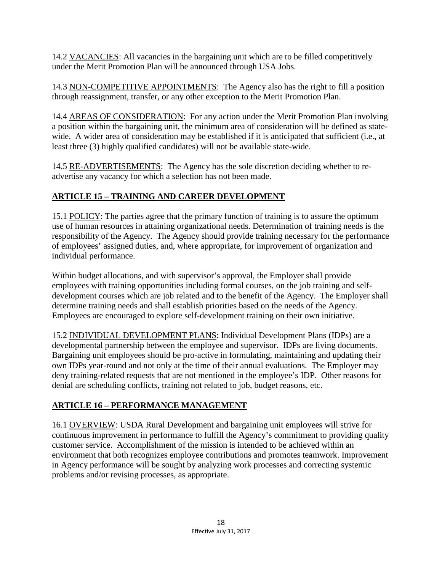14.2 VACANCIES: All vacancies in the bargaining unit which are to be filled competitively under the Merit Promotion Plan will be announced through USA Jobs.

14.3 NON-COMPETITIVE APPOINTMENTS: The Agency also has the right to fill a position through reassignment, transfer, or any other exception to the Merit Promotion Plan.

14.4 AREAS OF CONSIDERATION: For any action under the Merit Promotion Plan involving a position within the bargaining unit, the minimum area of consideration will be defined as statewide. A wider area of consideration may be established if it is anticipated that sufficient (i.e., at least three (3) highly qualified candidates) will not be available state-wide.

14.5 RE-ADVERTISEMENTS: The Agency has the sole discretion deciding whether to readvertise any vacancy for which a selection has not been made.

# **ARTICLE 15 – TRAINING AND CAREER DEVELOPMENT**

15.1 POLICY: The parties agree that the primary function of training is to assure the optimum use of human resources in attaining organizational needs. Determination of training needs is the responsibility of the Agency. The Agency should provide training necessary for the performance of employees' assigned duties, and, where appropriate, for improvement of organization and individual performance.

Within budget allocations, and with supervisor's approval, the Employer shall provide employees with training opportunities including formal courses, on the job training and selfdevelopment courses which are job related and to the benefit of the Agency. The Employer shall determine training needs and shall establish priorities based on the needs of the Agency. Employees are encouraged to explore self-development training on their own initiative.

15.2 INDIVIDUAL DEVELOPMENT PLANS: Individual Development Plans (IDPs) are a developmental partnership between the employee and supervisor. IDPs are living documents. Bargaining unit employees should be pro-active in formulating, maintaining and updating their own IDPs year-round and not only at the time of their annual evaluations. The Employer may deny training-related requests that are not mentioned in the employee's IDP. Other reasons for denial are scheduling conflicts, training not related to job, budget reasons, etc.

# **ARTICLE 16 – PERFORMANCE MANAGEMENT**

16.1 OVERVIEW: USDA Rural Development and bargaining unit employees will strive for continuous improvement in performance to fulfill the Agency's commitment to providing quality customer service. Accomplishment of the mission is intended to be achieved within an environment that both recognizes employee contributions and promotes teamwork. Improvement in Agency performance will be sought by analyzing work processes and correcting systemic problems and/or revising processes, as appropriate.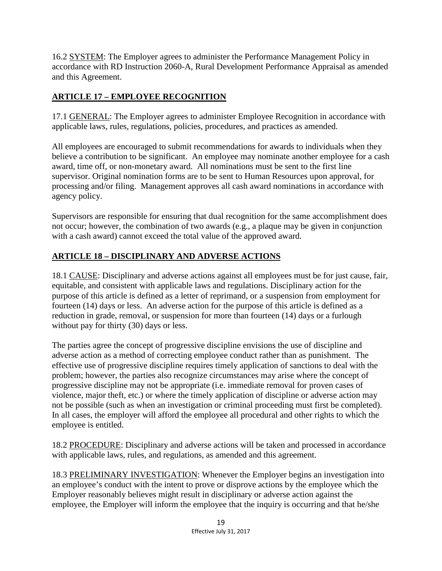16.2 SYSTEM: The Employer agrees to administer the Performance Management Policy in accordance with RD Instruction 2060-A, Rural Development Performance Appraisal as amended and this Agreement.

## **ARTICLE 17 – EMPLOYEE RECOGNITION**

17.1 GENERAL: The Employer agrees to administer Employee Recognition in accordance with applicable laws, rules, regulations, policies, procedures, and practices as amended.

All employees are encouraged to submit recommendations for awards to individuals when they believe a contribution to be significant. An employee may nominate another employee for a cash award, time off, or non-monetary award. All nominations must be sent to the first line supervisor. Original nomination forms are to be sent to Human Resources upon approval, for processing and/or filing. Management approves all cash award nominations in accordance with agency policy.

Supervisors are responsible for ensuring that dual recognition for the same accomplishment does not occur; however, the combination of two awards (e.g., a plaque may be given in conjunction with a cash award) cannot exceed the total value of the approved award.

# **ARTICLE 18 – DISCIPLINARY AND ADVERSE ACTIONS**

18.1 CAUSE: Disciplinary and adverse actions against all employees must be for just cause, fair, equitable, and consistent with applicable laws and regulations. Disciplinary action for the purpose of this article is defined as a letter of reprimand, or a suspension from employment for fourteen (14) days or less. An adverse action for the purpose of this article is defined as a reduction in grade, removal, or suspension for more than fourteen (14) days or a furlough without pay for thirty (30) days or less.

The parties agree the concept of progressive discipline envisions the use of discipline and adverse action as a method of correcting employee conduct rather than as punishment. The effective use of progressive discipline requires timely application of sanctions to deal with the problem; however, the parties also recognize circumstances may arise where the concept of progressive discipline may not be appropriate (i.e. immediate removal for proven cases of violence, major theft, etc.) or where the timely application of discipline or adverse action may not be possible (such as when an investigation or criminal proceeding must first be completed). In all cases, the employer will afford the employee all procedural and other rights to which the employee is entitled.

18.2 PROCEDURE: Disciplinary and adverse actions will be taken and processed in accordance with applicable laws, rules, and regulations, as amended and this agreement.

18.3 PRELIMINARY INVESTIGATION: Whenever the Employer begins an investigation into an employee's conduct with the intent to prove or disprove actions by the employee which the Employer reasonably believes might result in disciplinary or adverse action against the employee, the Employer will inform the employee that the inquiry is occurring and that he/she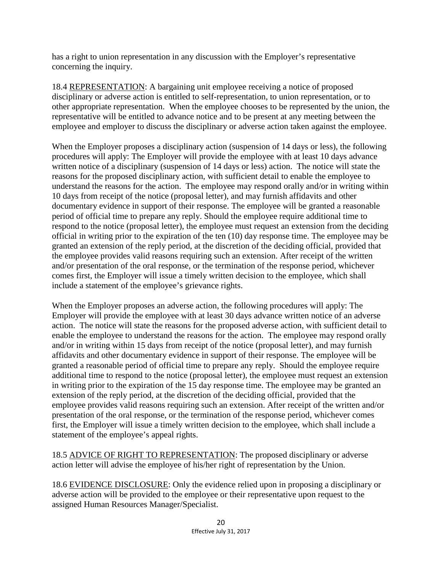has a right to union representation in any discussion with the Employer's representative concerning the inquiry.

18.4 REPRESENTATION: A bargaining unit employee receiving a notice of proposed disciplinary or adverse action is entitled to self-representation, to union representation, or to other appropriate representation. When the employee chooses to be represented by the union, the representative will be entitled to advance notice and to be present at any meeting between the employee and employer to discuss the disciplinary or adverse action taken against the employee.

When the Employer proposes a disciplinary action (suspension of 14 days or less), the following procedures will apply: The Employer will provide the employee with at least 10 days advance written notice of a disciplinary (suspension of 14 days or less) action. The notice will state the reasons for the proposed disciplinary action, with sufficient detail to enable the employee to understand the reasons for the action. The employee may respond orally and/or in writing within 10 days from receipt of the notice (proposal letter), and may furnish affidavits and other documentary evidence in support of their response. The employee will be granted a reasonable period of official time to prepare any reply. Should the employee require additional time to respond to the notice (proposal letter), the employee must request an extension from the deciding official in writing prior to the expiration of the ten (10) day response time. The employee may be granted an extension of the reply period, at the discretion of the deciding official, provided that the employee provides valid reasons requiring such an extension. After receipt of the written and/or presentation of the oral response, or the termination of the response period, whichever comes first, the Employer will issue a timely written decision to the employee, which shall include a statement of the employee's grievance rights.

When the Employer proposes an adverse action, the following procedures will apply: The Employer will provide the employee with at least 30 days advance written notice of an adverse action. The notice will state the reasons for the proposed adverse action, with sufficient detail to enable the employee to understand the reasons for the action. The employee may respond orally and/or in writing within 15 days from receipt of the notice (proposal letter), and may furnish affidavits and other documentary evidence in support of their response. The employee will be granted a reasonable period of official time to prepare any reply. Should the employee require additional time to respond to the notice (proposal letter), the employee must request an extension in writing prior to the expiration of the 15 day response time. The employee may be granted an extension of the reply period, at the discretion of the deciding official, provided that the employee provides valid reasons requiring such an extension. After receipt of the written and/or presentation of the oral response, or the termination of the response period, whichever comes first, the Employer will issue a timely written decision to the employee, which shall include a statement of the employee's appeal rights.

18.5 ADVICE OF RIGHT TO REPRESENTATION: The proposed disciplinary or adverse action letter will advise the employee of his/her right of representation by the Union.

18.6 EVIDENCE DISCLOSURE: Only the evidence relied upon in proposing a disciplinary or adverse action will be provided to the employee or their representative upon request to the assigned Human Resources Manager/Specialist.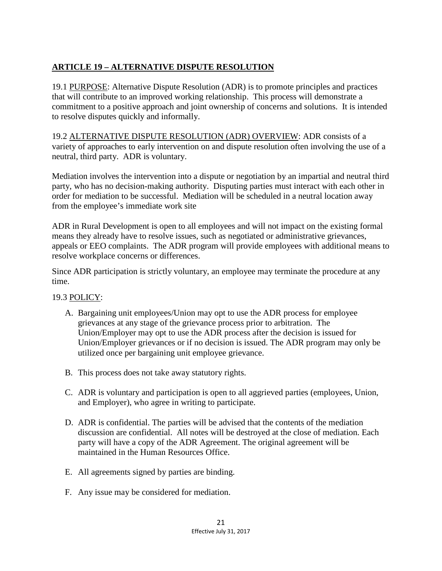## **ARTICLE 19 – ALTERNATIVE DISPUTE RESOLUTION**

19.1 PURPOSE: Alternative Dispute Resolution (ADR) is to promote principles and practices that will contribute to an improved working relationship. This process will demonstrate a commitment to a positive approach and joint ownership of concerns and solutions. It is intended to resolve disputes quickly and informally.

19.2 ALTERNATIVE DISPUTE RESOLUTION (ADR) OVERVIEW: ADR consists of a variety of approaches to early intervention on and dispute resolution often involving the use of a neutral, third party. ADR is voluntary.

Mediation involves the intervention into a dispute or negotiation by an impartial and neutral third party, who has no decision-making authority. Disputing parties must interact with each other in order for mediation to be successful. Mediation will be scheduled in a neutral location away from the employee's immediate work site

ADR in Rural Development is open to all employees and will not impact on the existing formal means they already have to resolve issues, such as negotiated or administrative grievances, appeals or EEO complaints. The ADR program will provide employees with additional means to resolve workplace concerns or differences.

Since ADR participation is strictly voluntary, an employee may terminate the procedure at any time.

#### 19.3 POLICY:

- A. Bargaining unit employees/Union may opt to use the ADR process for employee grievances at any stage of the grievance process prior to arbitration. The Union/Employer may opt to use the ADR process after the decision is issued for Union/Employer grievances or if no decision is issued. The ADR program may only be utilized once per bargaining unit employee grievance.
- B. This process does not take away statutory rights.
- C. ADR is voluntary and participation is open to all aggrieved parties (employees, Union, and Employer), who agree in writing to participate.
- D. ADR is confidential. The parties will be advised that the contents of the mediation discussion are confidential. All notes will be destroyed at the close of mediation. Each party will have a copy of the ADR Agreement. The original agreement will be maintained in the Human Resources Office.
- E. All agreements signed by parties are binding.
- F. Any issue may be considered for mediation.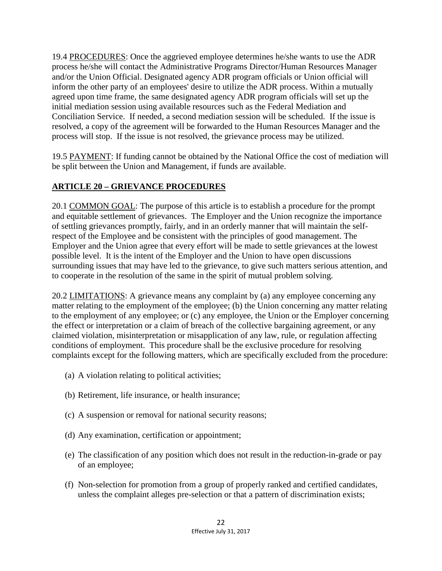19.4 PROCEDURES: Once the aggrieved employee determines he/she wants to use the ADR process he/she will contact the Administrative Programs Director/Human Resources Manager and/or the Union Official. Designated agency ADR program officials or Union official will inform the other party of an employees' desire to utilize the ADR process. Within a mutually agreed upon time frame, the same designated agency ADR program officials will set up the initial mediation session using available resources such as the Federal Mediation and Conciliation Service. If needed, a second mediation session will be scheduled. If the issue is resolved, a copy of the agreement will be forwarded to the Human Resources Manager and the process will stop. If the issue is not resolved, the grievance process may be utilized.

19.5 PAYMENT: If funding cannot be obtained by the National Office the cost of mediation will be split between the Union and Management, if funds are available.

# **ARTICLE 20 – GRIEVANCE PROCEDURES**

20.1 COMMON GOAL: The purpose of this article is to establish a procedure for the prompt and equitable settlement of grievances. The Employer and the Union recognize the importance of settling grievances promptly, fairly, and in an orderly manner that will maintain the selfrespect of the Employee and be consistent with the principles of good management. The Employer and the Union agree that every effort will be made to settle grievances at the lowest possible level. It is the intent of the Employer and the Union to have open discussions surrounding issues that may have led to the grievance, to give such matters serious attention, and to cooperate in the resolution of the same in the spirit of mutual problem solving.

20.2 LIMITATIONS: A grievance means any complaint by (a) any employee concerning any matter relating to the employment of the employee; (b) the Union concerning any matter relating to the employment of any employee; or (c) any employee, the Union or the Employer concerning the effect or interpretation or a claim of breach of the collective bargaining agreement, or any claimed violation, misinterpretation or misapplication of any law, rule, or regulation affecting conditions of employment. This procedure shall be the exclusive procedure for resolving complaints except for the following matters, which are specifically excluded from the procedure:

- (a) A violation relating to political activities;
- (b) Retirement, life insurance, or health insurance;
- (c) A suspension or removal for national security reasons;
- (d) Any examination, certification or appointment;
- (e) The classification of any position which does not result in the reduction-in-grade or pay of an employee;
- (f) Non-selection for promotion from a group of properly ranked and certified candidates, unless the complaint alleges pre-selection or that a pattern of discrimination exists;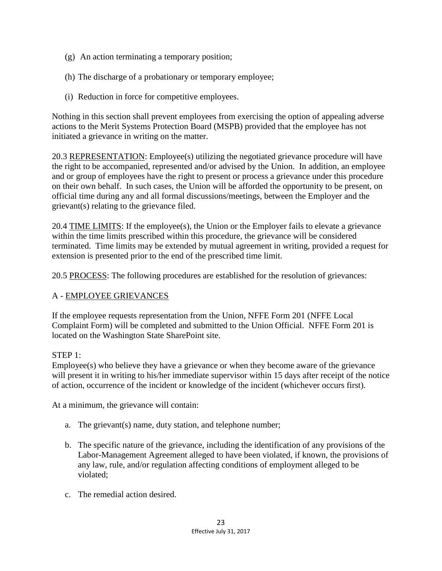- (g) An action terminating a temporary position;
- (h) The discharge of a probationary or temporary employee;
- (i) Reduction in force for competitive employees.

Nothing in this section shall prevent employees from exercising the option of appealing adverse actions to the Merit Systems Protection Board (MSPB) provided that the employee has not initiated a grievance in writing on the matter.

20.3 REPRESENTATION: Employee(s) utilizing the negotiated grievance procedure will have the right to be accompanied, represented and/or advised by the Union. In addition, an employee and or group of employees have the right to present or process a grievance under this procedure on their own behalf. In such cases, the Union will be afforded the opportunity to be present, on official time during any and all formal discussions/meetings, between the Employer and the grievant(s) relating to the grievance filed.

20.4 TIME LIMITS: If the employee(s), the Union or the Employer fails to elevate a grievance within the time limits prescribed within this procedure, the grievance will be considered terminated. Time limits may be extended by mutual agreement in writing, provided a request for extension is presented prior to the end of the prescribed time limit.

20.5 PROCESS: The following procedures are established for the resolution of grievances:

#### A - EMPLOYEE GRIEVANCES

If the employee requests representation from the Union, NFFE Form 201 (NFFE Local Complaint Form) will be completed and submitted to the Union Official. NFFE Form 201 is located on the Washington State SharePoint site.

#### STEP 1:

Employee(s) who believe they have a grievance or when they become aware of the grievance will present it in writing to his/her immediate supervisor within 15 days after receipt of the notice of action, occurrence of the incident or knowledge of the incident (whichever occurs first).

At a minimum, the grievance will contain:

- a. The grievant(s) name, duty station, and telephone number;
- b. The specific nature of the grievance, including the identification of any provisions of the Labor-Management Agreement alleged to have been violated, if known, the provisions of any law, rule, and/or regulation affecting conditions of employment alleged to be violated;
- c. The remedial action desired.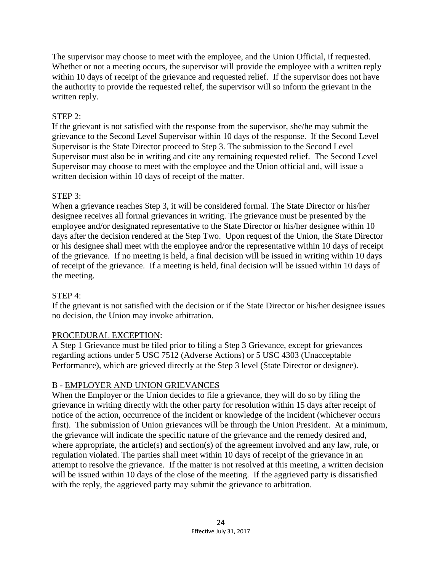The supervisor may choose to meet with the employee, and the Union Official, if requested. Whether or not a meeting occurs, the supervisor will provide the employee with a written reply within 10 days of receipt of the grievance and requested relief. If the supervisor does not have the authority to provide the requested relief, the supervisor will so inform the grievant in the written reply.

#### STEP 2:

If the grievant is not satisfied with the response from the supervisor, she/he may submit the grievance to the Second Level Supervisor within 10 days of the response. If the Second Level Supervisor is the State Director proceed to Step 3. The submission to the Second Level Supervisor must also be in writing and cite any remaining requested relief. The Second Level Supervisor may choose to meet with the employee and the Union official and, will issue a written decision within 10 days of receipt of the matter.

### STEP 3:

When a grievance reaches Step 3, it will be considered formal. The State Director or his/her designee receives all formal grievances in writing. The grievance must be presented by the employee and/or designated representative to the State Director or his/her designee within 10 days after the decision rendered at the Step Two. Upon request of the Union, the State Director or his designee shall meet with the employee and/or the representative within 10 days of receipt of the grievance. If no meeting is held, a final decision will be issued in writing within 10 days of receipt of the grievance. If a meeting is held, final decision will be issued within 10 days of the meeting.

## STEP 4:

If the grievant is not satisfied with the decision or if the State Director or his/her designee issues no decision, the Union may invoke arbitration.

## PROCEDURAL EXCEPTION:

A Step 1 Grievance must be filed prior to filing a Step 3 Grievance, except for grievances regarding actions under 5 USC 7512 (Adverse Actions) or 5 USC 4303 (Unacceptable Performance), which are grieved directly at the Step 3 level (State Director or designee).

## B - EMPLOYER AND UNION GRIEVANCES

When the Employer or the Union decides to file a grievance, they will do so by filing the grievance in writing directly with the other party for resolution within 15 days after receipt of notice of the action, occurrence of the incident or knowledge of the incident (whichever occurs first). The submission of Union grievances will be through the Union President. At a minimum, the grievance will indicate the specific nature of the grievance and the remedy desired and, where appropriate, the article(s) and section(s) of the agreement involved and any law, rule, or regulation violated. The parties shall meet within 10 days of receipt of the grievance in an attempt to resolve the grievance. If the matter is not resolved at this meeting, a written decision will be issued within 10 days of the close of the meeting. If the aggrieved party is dissatisfied with the reply, the aggrieved party may submit the grievance to arbitration.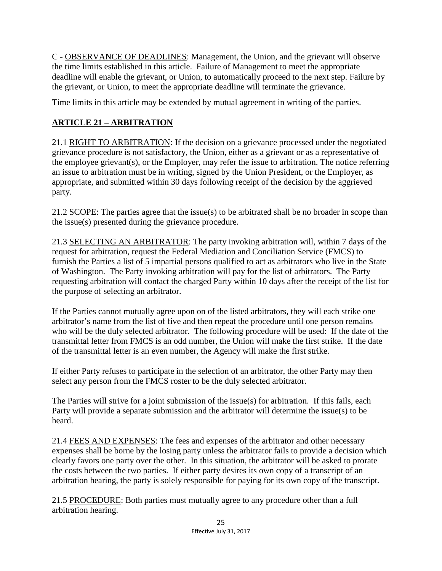C - OBSERVANCE OF DEADLINES: Management, the Union, and the grievant will observe the time limits established in this article. Failure of Management to meet the appropriate deadline will enable the grievant, or Union, to automatically proceed to the next step. Failure by the grievant, or Union, to meet the appropriate deadline will terminate the grievance.

Time limits in this article may be extended by mutual agreement in writing of the parties.

### **ARTICLE 21 – ARBITRATION**

21.1 RIGHT TO ARBITRATION: If the decision on a grievance processed under the negotiated grievance procedure is not satisfactory, the Union, either as a grievant or as a representative of the employee grievant(s), or the Employer, may refer the issue to arbitration. The notice referring an issue to arbitration must be in writing, signed by the Union President, or the Employer, as appropriate, and submitted within 30 days following receipt of the decision by the aggrieved party.

21.2 SCOPE: The parties agree that the issue(s) to be arbitrated shall be no broader in scope than the issue(s) presented during the grievance procedure.

21.3 SELECTING AN ARBITRATOR: The party invoking arbitration will, within 7 days of the request for arbitration, request the Federal Mediation and Conciliation Service (FMCS) to furnish the Parties a list of 5 impartial persons qualified to act as arbitrators who live in the State of Washington. The Party invoking arbitration will pay for the list of arbitrators. The Party requesting arbitration will contact the charged Party within 10 days after the receipt of the list for the purpose of selecting an arbitrator.

If the Parties cannot mutually agree upon on of the listed arbitrators, they will each strike one arbitrator's name from the list of five and then repeat the procedure until one person remains who will be the duly selected arbitrator. The following procedure will be used: If the date of the transmittal letter from FMCS is an odd number, the Union will make the first strike. If the date of the transmittal letter is an even number, the Agency will make the first strike.

If either Party refuses to participate in the selection of an arbitrator, the other Party may then select any person from the FMCS roster to be the duly selected arbitrator.

The Parties will strive for a joint submission of the issue(s) for arbitration. If this fails, each Party will provide a separate submission and the arbitrator will determine the issue(s) to be heard.

21.4 FEES AND EXPENSES: The fees and expenses of the arbitrator and other necessary expenses shall be borne by the losing party unless the arbitrator fails to provide a decision which clearly favors one party over the other. In this situation, the arbitrator will be asked to prorate the costs between the two parties. If either party desires its own copy of a transcript of an arbitration hearing, the party is solely responsible for paying for its own copy of the transcript.

21.5 PROCEDURE: Both parties must mutually agree to any procedure other than a full arbitration hearing.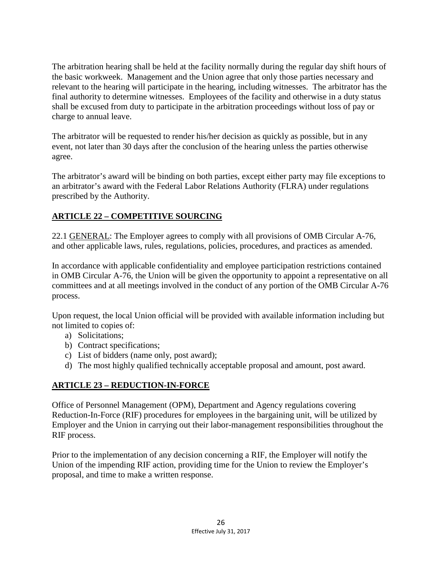The arbitration hearing shall be held at the facility normally during the regular day shift hours of the basic workweek. Management and the Union agree that only those parties necessary and relevant to the hearing will participate in the hearing, including witnesses. The arbitrator has the final authority to determine witnesses. Employees of the facility and otherwise in a duty status shall be excused from duty to participate in the arbitration proceedings without loss of pay or charge to annual leave.

The arbitrator will be requested to render his/her decision as quickly as possible, but in any event, not later than 30 days after the conclusion of the hearing unless the parties otherwise agree.

The arbitrator's award will be binding on both parties, except either party may file exceptions to an arbitrator's award with the Federal Labor Relations Authority (FLRA) under regulations prescribed by the Authority.

## **ARTICLE 22 – COMPETITIVE SOURCING**

22.1 GENERAL: The Employer agrees to comply with all provisions of OMB Circular A-76, and other applicable laws, rules, regulations, policies, procedures, and practices as amended.

In accordance with applicable confidentiality and employee participation restrictions contained in OMB Circular A-76, the Union will be given the opportunity to appoint a representative on all committees and at all meetings involved in the conduct of any portion of the OMB Circular A-76 process.

Upon request, the local Union official will be provided with available information including but not limited to copies of:

- a) Solicitations;
- b) Contract specifications;
- c) List of bidders (name only, post award);
- d) The most highly qualified technically acceptable proposal and amount, post award.

#### **ARTICLE 23 – REDUCTION-IN-FORCE**

Office of Personnel Management (OPM), Department and Agency regulations covering Reduction-In-Force (RIF) procedures for employees in the bargaining unit, will be utilized by Employer and the Union in carrying out their labor-management responsibilities throughout the RIF process.

Prior to the implementation of any decision concerning a RIF, the Employer will notify the Union of the impending RIF action, providing time for the Union to review the Employer's proposal, and time to make a written response.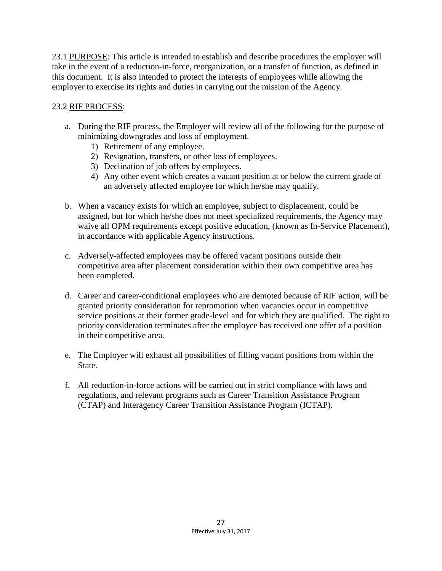23.1 PURPOSE: This article is intended to establish and describe procedures the employer will take in the event of a reduction-in-force, reorganization, or a transfer of function, as defined in this document. It is also intended to protect the interests of employees while allowing the employer to exercise its rights and duties in carrying out the mission of the Agency.

#### 23.2 RIF PROCESS:

- a. During the RIF process, the Employer will review all of the following for the purpose of minimizing downgrades and loss of employment.
	- 1) Retirement of any employee.
	- 2) Resignation, transfers, or other loss of employees.
	- 3) Declination of job offers by employees.
	- 4) Any other event which creates a vacant position at or below the current grade of an adversely affected employee for which he/she may qualify.
- b. When a vacancy exists for which an employee, subject to displacement, could be assigned, but for which he/she does not meet specialized requirements, the Agency may waive all OPM requirements except positive education, (known as In-Service Placement), in accordance with applicable Agency instructions.
- c. Adversely-affected employees may be offered vacant positions outside their competitive area after placement consideration within their own competitive area has been completed.
- d. Career and career-conditional employees who are demoted because of RIF action, will be granted priority consideration for repromotion when vacancies occur in competitive service positions at their former grade-level and for which they are qualified. The right to priority consideration terminates after the employee has received one offer of a position in their competitive area.
- e. The Employer will exhaust all possibilities of filling vacant positions from within the State.
- f. All reduction-in-force actions will be carried out in strict compliance with laws and regulations, and relevant programs such as Career Transition Assistance Program (CTAP) and Interagency Career Transition Assistance Program (ICTAP).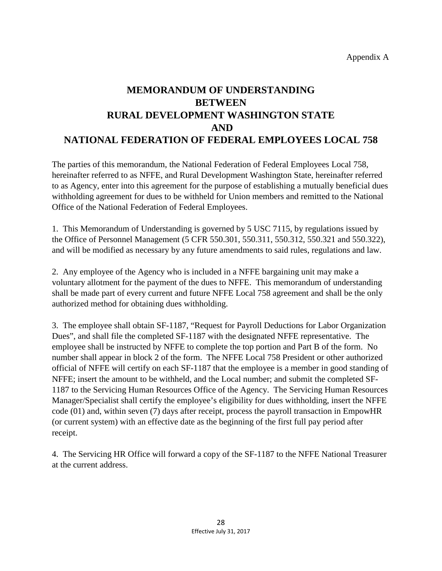# **MEMORANDUM OF UNDERSTANDING BETWEEN RURAL DEVELOPMENT WASHINGTON STATE AND NATIONAL FEDERATION OF FEDERAL EMPLOYEES LOCAL 758**

The parties of this memorandum, the National Federation of Federal Employees Local 758, hereinafter referred to as NFFE, and Rural Development Washington State, hereinafter referred to as Agency, enter into this agreement for the purpose of establishing a mutually beneficial dues withholding agreement for dues to be withheld for Union members and remitted to the National Office of the National Federation of Federal Employees.

1. This Memorandum of Understanding is governed by 5 USC 7115, by regulations issued by the Office of Personnel Management (5 CFR 550.301, 550.311, 550.312, 550.321 and 550.322), and will be modified as necessary by any future amendments to said rules, regulations and law.

2. Any employee of the Agency who is included in a NFFE bargaining unit may make a voluntary allotment for the payment of the dues to NFFE. This memorandum of understanding shall be made part of every current and future NFFE Local 758 agreement and shall be the only authorized method for obtaining dues withholding.

3. The employee shall obtain SF-1187, "Request for Payroll Deductions for Labor Organization Dues", and shall file the completed SF-1187 with the designated NFFE representative. The employee shall be instructed by NFFE to complete the top portion and Part B of the form. No number shall appear in block 2 of the form. The NFFE Local 758 President or other authorized official of NFFE will certify on each SF-1187 that the employee is a member in good standing of NFFE; insert the amount to be withheld, and the Local number; and submit the completed SF-1187 to the Servicing Human Resources Office of the Agency. The Servicing Human Resources Manager/Specialist shall certify the employee's eligibility for dues withholding, insert the NFFE code (01) and, within seven (7) days after receipt, process the payroll transaction in EmpowHR (or current system) with an effective date as the beginning of the first full pay period after receipt.

4. The Servicing HR Office will forward a copy of the SF-1187 to the NFFE National Treasurer at the current address.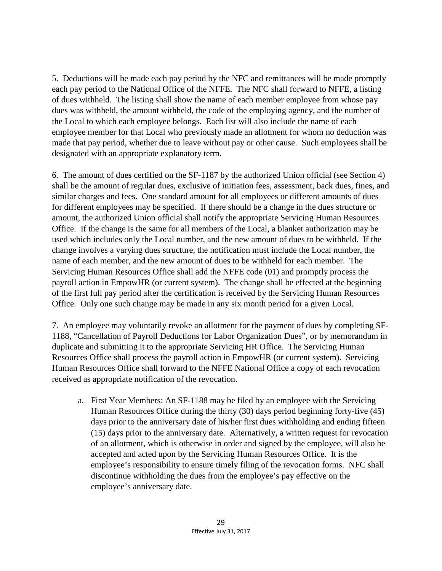5. Deductions will be made each pay period by the NFC and remittances will be made promptly each pay period to the National Office of the NFFE. The NFC shall forward to NFFE, a listing of dues withheld. The listing shall show the name of each member employee from whose pay dues was withheld, the amount withheld, the code of the employing agency, and the number of the Local to which each employee belongs. Each list will also include the name of each employee member for that Local who previously made an allotment for whom no deduction was made that pay period, whether due to leave without pay or other cause. Such employees shall be designated with an appropriate explanatory term.

6. The amount of due**s** certified on the SF-1187 by the authorized Union official (see Section 4) shall be the amount of regular dues, exclusive of initiation fees, assessment, back dues, fines, and similar charges and fees. One standard amount for all employees or different amounts of dues for different employees may be specified. If there should be a change in the dues structure or amount, the authorized Union official shall notify the appropriate Servicing Human Resources Office. If the change is the same for all members of the Local, a blanket authorization may be used which includes only the Local number, and the new amount of dues to be withheld. If the change involves a varying dues structure, the notification must include the Local number, the name of each member, and the new amount of dues to be withheld for each member. The Servicing Human Resources Office shall add the NFFE code (01) and promptly process the payroll action in EmpowHR (or current system). The change shall be effected at the beginning of the first full pay period after the certification is received by the Servicing Human Resources Office. Only one such change may be made in any six month period for a given Local.

7. An employee may voluntarily revoke an allotment for the payment of dues by completing SF-1188, "Cancellation of Payroll Deductions for Labor Organization Dues", or by memorandum in duplicate and submitting it to the appropriate Servicing HR Office. The Servicing Human Resources Office shall process the payroll action in EmpowHR (or current system). Servicing Human Resources Office shall forward to the NFFE National Office a copy of each revocation received as appropriate notification of the revocation.

a. First Year Members: An SF-1188 may be filed by an employee with the Servicing Human Resources Office during the thirty (30) days period beginning forty-five (45) days prior to the anniversary date of his/her first dues withholding and ending fifteen (15) days prior to the anniversary date. Alternatively, a written request for revocation of an allotment, which is otherwise in order and signed by the employee, will also be accepted and acted upon by the Servicing Human Resources Office. It is the employee's responsibility to ensure timely filing of the revocation forms. NFC shall discontinue withholding the dues from the employee's pay effective on the employee's anniversary date.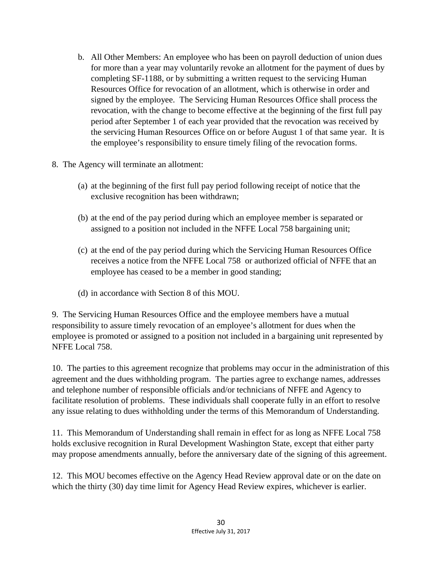- b. All Other Members: An employee who has been on payroll deduction of union dues for more than a year may voluntarily revoke an allotment for the payment of dues by completing SF-1188, or by submitting a written request to the servicing Human Resources Office for revocation of an allotment, which is otherwise in order and signed by the employee. The Servicing Human Resources Office shall process the revocation, with the change to become effective at the beginning of the first full pay period after September 1 of each year provided that the revocation was received by the servicing Human Resources Office on or before August 1 of that same year. It is the employee's responsibility to ensure timely filing of the revocation forms.
- 8. The Agency will terminate an allotment:
	- (a) at the beginning of the first full pay period following receipt of notice that the exclusive recognition has been withdrawn;
	- (b) at the end of the pay period during which an employee member is separated or assigned to a position not included in the NFFE Local 758 bargaining unit;
	- (c) at the end of the pay period during which the Servicing Human Resources Office receives a notice from the NFFE Local 758 or authorized official of NFFE that an employee has ceased to be a member in good standing;
	- (d) in accordance with Section 8 of this MOU.

9. The Servicing Human Resources Office and the employee members have a mutual responsibility to assure timely revocation of an employee's allotment for dues when the employee is promoted or assigned to a position not included in a bargaining unit represented by NFFE Local 758.

10. The parties to this agreement recognize that problems may occur in the administration of this agreement and the dues withholding program. The parties agree to exchange names, addresses and telephone number of responsible officials and/or technicians of NFFE and Agency to facilitate resolution of problems. These individuals shall cooperate fully in an effort to resolve any issue relating to dues withholding under the terms of this Memorandum of Understanding.

11. This Memorandum of Understanding shall remain in effect for as long as NFFE Local 758 holds exclusive recognition in Rural Development Washington State, except that either party may propose amendments annually, before the anniversary date of the signing of this agreement.

12. This MOU becomes effective on the Agency Head Review approval date or on the date on which the thirty (30) day time limit for Agency Head Review expires, whichever is earlier.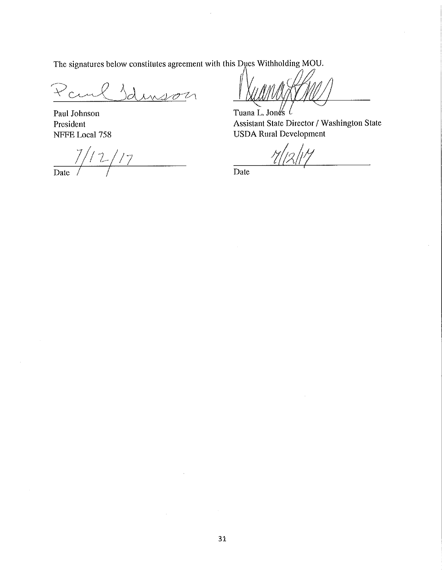The signatures below constitutes agreement with this Dues Withholding MOU.

 $\lambda_{\text{max}}$ Paul  $n$ m

Paul Johnson President NFFE Local 758

 $7/12$  $\frac{1}{7}$  $\frac{1}{\text{Date}}$ 

Tuana L. Jones  $\ell$ 

Assistant State Director / Washington State **USDA Rural Development** 

 $\overline{Date}$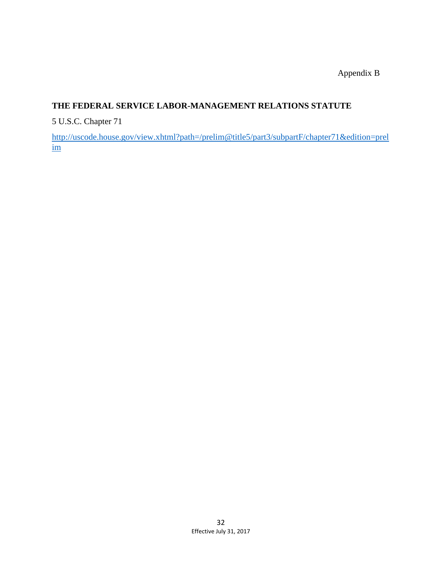Appendix B

### **THE FEDERAL SERVICE LABOR-MANAGEMENT RELATIONS STATUTE**

5 U.S.C. Chapter 71

[http://uscode.house.gov/view.xhtml?path=/prelim@title5/part3/subpartF/chapter71&edition=prel](http://uscode.house.gov/view.xhtml?path=/prelim@title5/part3/subpartF/chapter71&edition=prelim) [im](http://uscode.house.gov/view.xhtml?path=/prelim@title5/part3/subpartF/chapter71&edition=prelim)